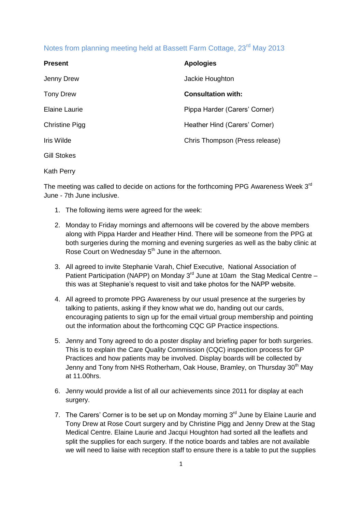## Notes from planning meeting held at Bassett Farm Cottage, 23<sup>rd</sup> May 2013

| <b>Present</b>        | <b>Apologies</b>               |
|-----------------------|--------------------------------|
| Jenny Drew            | Jackie Houghton                |
| <b>Tony Drew</b>      | <b>Consultation with:</b>      |
| <b>Elaine Laurie</b>  | Pippa Harder (Carers' Corner)  |
| <b>Christine Pigg</b> | Heather Hind (Carers' Corner)  |
| Iris Wilde            | Chris Thompson (Press release) |
| <b>Gill Stokes</b>    |                                |
|                       |                                |

Kath Perry

The meeting was called to decide on actions for the forthcoming PPG Awareness Week 3<sup>rd</sup> June - 7th June inclusive.

- 1. The following items were agreed for the week:
- 2. Monday to Friday mornings and afternoons will be covered by the above members along with Pippa Harder and Heather Hind. There will be someone from the PPG at both surgeries during the morning and evening surgeries as well as the baby clinic at Rose Court on Wednesday 5<sup>th</sup> June in the afternoon.
- 3. All agreed to invite Stephanie Varah, Chief Executive, National Association of Patient Participation (NAPP) on Monday  $3<sup>rd</sup>$  June at 10am the Stag Medical Centre – this was at Stephanie's request to visit and take photos for the NAPP website.
- 4. All agreed to promote PPG Awareness by our usual presence at the surgeries by talking to patients, asking if they know what we do, handing out our cards, encouraging patients to sign up for the email virtual group membership and pointing out the information about the forthcoming CQC GP Practice inspections.
- 5. Jenny and Tony agreed to do a poster display and briefing paper for both surgeries. This is to explain the Care Quality Commission (CQC) inspection process for GP Practices and how patients may be involved. Display boards will be collected by Jenny and Tony from NHS Rotherham, Oak House, Bramley, on Thursday 30<sup>th</sup> May at 11.00hrs.
- 6. Jenny would provide a list of all our achievements since 2011 for display at each surgery.
- 7. The Carers' Corner is to be set up on Monday morning  $3<sup>rd</sup>$  June by Elaine Laurie and Tony Drew at Rose Court surgery and by Christine Pigg and Jenny Drew at the Stag Medical Centre. Elaine Laurie and Jacqui Houghton had sorted all the leaflets and split the supplies for each surgery. If the notice boards and tables are not available we will need to liaise with reception staff to ensure there is a table to put the supplies